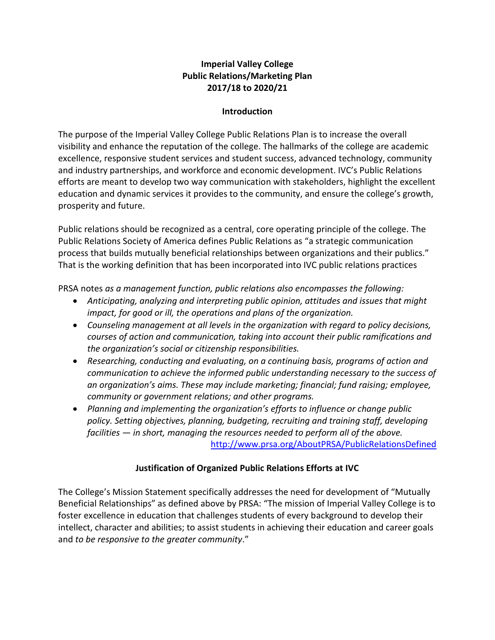### **Imperial Valley College Public Relations/Marketing Plan 2017/18 to 2020/21**

#### **Introduction**

The purpose of the Imperial Valley College Public Relations Plan is to increase the overall visibility and enhance the reputation of the college. The hallmarks of the college are academic excellence, responsive student services and student success, advanced technology, community and industry partnerships, and workforce and economic development. IVC's Public Relations efforts are meant to develop two way communication with stakeholders, highlight the excellent education and dynamic services it provides to the community, and ensure the college's growth, prosperity and future.

Public relations should be recognized as a central, core operating principle of the college. The Public Relations Society of America defines Public Relations as "a strategic communication process that builds mutually beneficial relationships between organizations and their publics." That is the working definition that has been incorporated into IVC public relations practices

PRSA notes *as a management function, public relations also encompasses the following:*

- *Anticipating, analyzing and interpreting public opinion, attitudes and issues that might impact, for good or ill, the operations and plans of the organization.*
- *Counseling management at all levels in the organization with regard to policy decisions, courses of action and communication, taking into account their public ramifications and the organization's social or citizenship responsibilities.*
- *Researching, conducting and evaluating, on a continuing basis, programs of action and communication to achieve the informed public understanding necessary to the success of an organization's aims. These may include marketing; financial; fund raising; employee, community or government relations; and other programs.*
- *Planning and implementing the organization's efforts to influence or change public policy. Setting objectives, planning, budgeting, recruiting and training staff, developing facilities — in short, managing the resources needed to perform all of the above.* <http://www.prsa.org/AboutPRSA/PublicRelationsDefined>

**Justification of Organized Public Relations Efforts at IVC**

The College's Mission Statement specifically addresses the need for development of "Mutually Beneficial Relationships" as defined above by PRSA: "The mission of Imperial Valley College is to foster excellence in education that challenges students of every background to develop their intellect, character and abilities; to assist students in achieving their education and career goals and *to be responsive to the greater community*."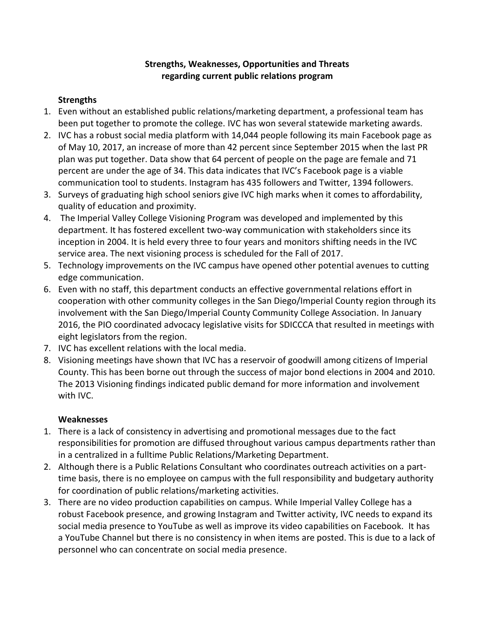### **Strengths, Weaknesses, Opportunities and Threats regarding current public relations program**

## **Strengths**

- 1. Even without an established public relations/marketing department, a professional team has been put together to promote the college. IVC has won several statewide marketing awards.
- 2. IVC has a robust social media platform with 14,044 people following its main Facebook page as of May 10, 2017, an increase of more than 42 percent since September 2015 when the last PR plan was put together. Data show that 64 percent of people on the page are female and 71 percent are under the age of 34. This data indicates that IVC's Facebook page is a viable communication tool to students. Instagram has 435 followers and Twitter, 1394 followers.
- 3. Surveys of graduating high school seniors give IVC high marks when it comes to affordability, quality of education and proximity.
- 4. The Imperial Valley College Visioning Program was developed and implemented by this department. It has fostered excellent two-way communication with stakeholders since its inception in 2004. It is held every three to four years and monitors shifting needs in the IVC service area. The next visioning process is scheduled for the Fall of 2017.
- 5. Technology improvements on the IVC campus have opened other potential avenues to cutting edge communication.
- 6. Even with no staff, this department conducts an effective governmental relations effort in cooperation with other community colleges in the San Diego/Imperial County region through its involvement with the San Diego/Imperial County Community College Association. In January 2016, the PIO coordinated advocacy legislative visits for SDICCCA that resulted in meetings with eight legislators from the region.
- 7. IVC has excellent relations with the local media.
- 8. Visioning meetings have shown that IVC has a reservoir of goodwill among citizens of Imperial County. This has been borne out through the success of major bond elections in 2004 and 2010. The 2013 Visioning findings indicated public demand for more information and involvement with IVC.

# **Weaknesses**

- 1. There is a lack of consistency in advertising and promotional messages due to the fact responsibilities for promotion are diffused throughout various campus departments rather than in a centralized in a fulltime Public Relations/Marketing Department.
- 2. Although there is a Public Relations Consultant who coordinates outreach activities on a parttime basis, there is no employee on campus with the full responsibility and budgetary authority for coordination of public relations/marketing activities.
- 3. There are no video production capabilities on campus. While Imperial Valley College has a robust Facebook presence, and growing Instagram and Twitter activity, IVC needs to expand its social media presence to YouTube as well as improve its video capabilities on Facebook. It has a YouTube Channel but there is no consistency in when items are posted. This is due to a lack of personnel who can concentrate on social media presence.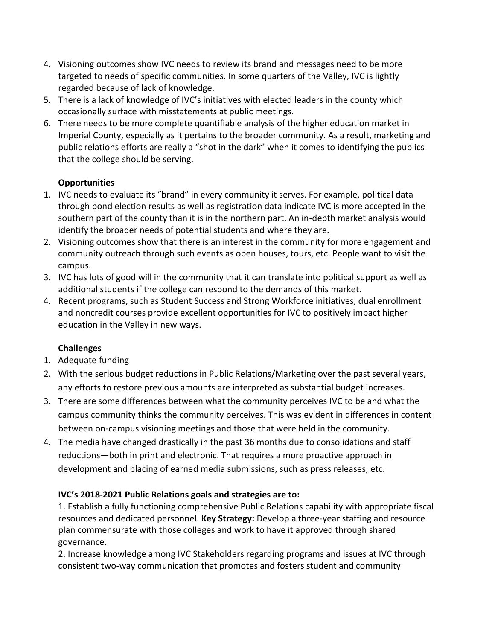- 4. Visioning outcomes show IVC needs to review its brand and messages need to be more targeted to needs of specific communities. In some quarters of the Valley, IVC is lightly regarded because of lack of knowledge.
- 5. There is a lack of knowledge of IVC's initiatives with elected leaders in the county which occasionally surface with misstatements at public meetings.
- 6. There needs to be more complete quantifiable analysis of the higher education market in Imperial County, especially as it pertains to the broader community. As a result, marketing and public relations efforts are really a "shot in the dark" when it comes to identifying the publics that the college should be serving.

### **Opportunities**

- 1. IVC needs to evaluate its "brand" in every community it serves. For example, political data through bond election results as well as registration data indicate IVC is more accepted in the southern part of the county than it is in the northern part. An in-depth market analysis would identify the broader needs of potential students and where they are.
- 2. Visioning outcomes show that there is an interest in the community for more engagement and community outreach through such events as open houses, tours, etc. People want to visit the campus.
- 3. IVC has lots of good will in the community that it can translate into political support as well as additional students if the college can respond to the demands of this market.
- 4. Recent programs, such as Student Success and Strong Workforce initiatives, dual enrollment and noncredit courses provide excellent opportunities for IVC to positively impact higher education in the Valley in new ways.

# **Challenges**

- 1. Adequate funding
- 2. With the serious budget reductions in Public Relations/Marketing over the past several years, any efforts to restore previous amounts are interpreted as substantial budget increases.
- 3. There are some differences between what the community perceives IVC to be and what the campus community thinks the community perceives. This was evident in differences in content between on-campus visioning meetings and those that were held in the community.
- 4. The media have changed drastically in the past 36 months due to consolidations and staff reductions—both in print and electronic. That requires a more proactive approach in development and placing of earned media submissions, such as press releases, etc.

# **IVC's 2018-2021 Public Relations goals and strategies are to:**

1. Establish a fully functioning comprehensive Public Relations capability with appropriate fiscal resources and dedicated personnel. **Key Strategy:** Develop a three-year staffing and resource plan commensurate with those colleges and work to have it approved through shared governance.

2. Increase knowledge among IVC Stakeholders regarding programs and issues at IVC through consistent two-way communication that promotes and fosters student and community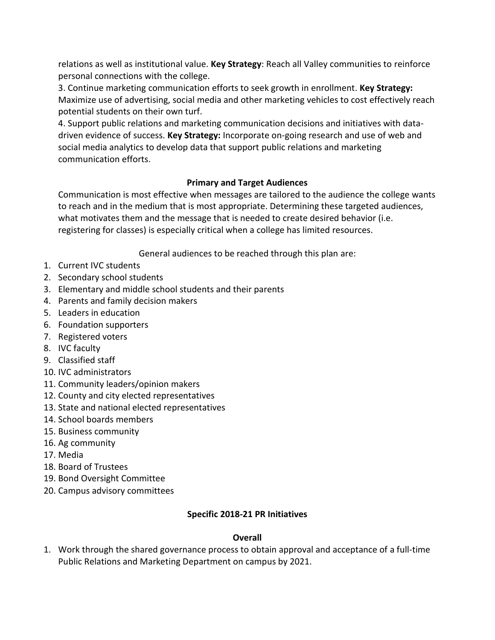relations as well as institutional value. **Key Strategy**: Reach all Valley communities to reinforce personal connections with the college.

3. Continue marketing communication efforts to seek growth in enrollment. **Key Strategy:**  Maximize use of advertising, social media and other marketing vehicles to cost effectively reach potential students on their own turf.

4. Support public relations and marketing communication decisions and initiatives with datadriven evidence of success. **Key Strategy:** Incorporate on-going research and use of web and social media analytics to develop data that support public relations and marketing communication efforts.

### **Primary and Target Audiences**

Communication is most effective when messages are tailored to the audience the college wants to reach and in the medium that is most appropriate. Determining these targeted audiences, what motivates them and the message that is needed to create desired behavior (i.e. registering for classes) is especially critical when a college has limited resources.

General audiences to be reached through this plan are:

- 1. Current IVC students
- 2. Secondary school students
- 3. Elementary and middle school students and their parents
- 4. Parents and family decision makers
- 5. Leaders in education
- 6. Foundation supporters
- 7. Registered voters
- 8. IVC faculty
- 9. Classified staff
- 10. IVC administrators
- 11. Community leaders/opinion makers
- 12. County and city elected representatives
- 13. State and national elected representatives
- 14. School boards members
- 15. Business community
- 16. Ag community
- 17. Media
- 18. Board of Trustees
- 19. Bond Oversight Committee
- 20. Campus advisory committees

### **Specific 2018-21 PR Initiatives**

# **Overall**

1. Work through the shared governance process to obtain approval and acceptance of a full-time Public Relations and Marketing Department on campus by 2021.